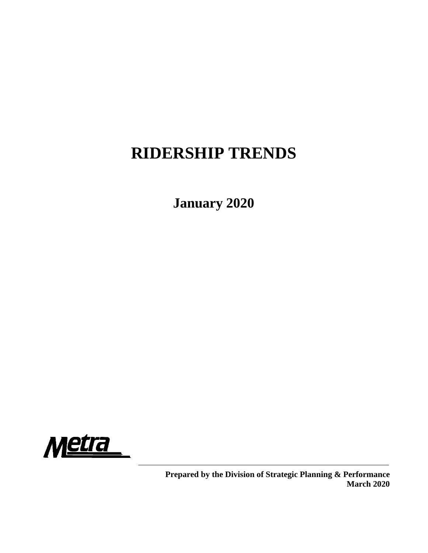# **RIDERSHIP TRENDS**

**January 2020**



**Prepared by the Division of Strategic Planning & Performance March 2020**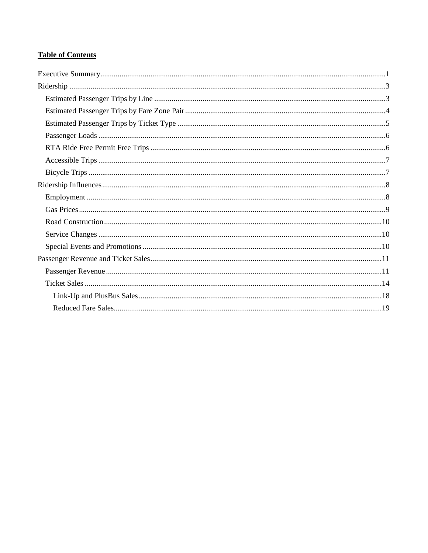## **Table of Contents**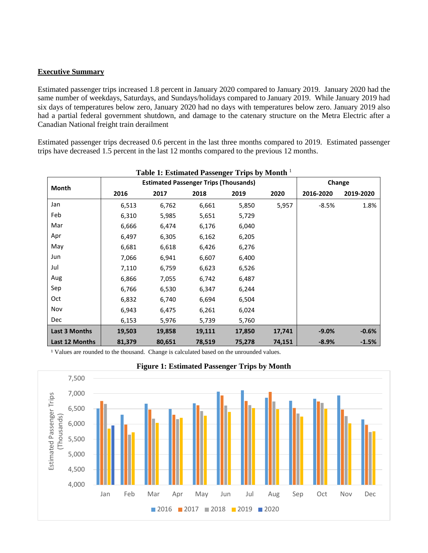#### <span id="page-2-0"></span>**Executive Summary**

Estimated passenger trips increased 1.8 percent in January 2020 compared to January 2019. January 2020 had the same number of weekdays, Saturdays, and Sundays/holidays compared to January 2019. While January 2019 had six days of temperatures below zero, January 2020 had no days with temperatures below zero. January 2019 also had a partial federal government shutdown, and damage to the catenary structure on the Metra Electric after a Canadian National freight train derailment

Estimated passenger trips decreased 0.6 percent in the last three months compared to 2019. Estimated passenger trips have decreased 1.5 percent in the last 12 months compared to the previous 12 months.

| Table 1: Estimated Fassenger Trips by Month |        |                                              |        |        |        |           |           |  |  |  |  |
|---------------------------------------------|--------|----------------------------------------------|--------|--------|--------|-----------|-----------|--|--|--|--|
|                                             |        | <b>Estimated Passenger Trips (Thousands)</b> |        |        |        | Change    |           |  |  |  |  |
| Month                                       | 2016   | 2017                                         | 2018   | 2019   | 2020   | 2016-2020 | 2019-2020 |  |  |  |  |
| Jan                                         | 6,513  | 6,762                                        | 6,661  | 5,850  | 5,957  | $-8.5%$   | 1.8%      |  |  |  |  |
| Feb                                         | 6,310  | 5,985                                        | 5,651  | 5,729  |        |           |           |  |  |  |  |
| Mar                                         | 6,666  | 6,474                                        | 6,176  | 6,040  |        |           |           |  |  |  |  |
| Apr                                         | 6,497  | 6,305                                        | 6,162  | 6,205  |        |           |           |  |  |  |  |
| May                                         | 6,681  | 6,618                                        | 6,426  | 6,276  |        |           |           |  |  |  |  |
| Jun                                         | 7,066  | 6,941                                        | 6,607  | 6,400  |        |           |           |  |  |  |  |
| Jul                                         | 7,110  | 6,759                                        | 6,623  | 6,526  |        |           |           |  |  |  |  |
| Aug                                         | 6,866  | 7,055                                        | 6,742  | 6,487  |        |           |           |  |  |  |  |
| Sep                                         | 6,766  | 6,530                                        | 6,347  | 6,244  |        |           |           |  |  |  |  |
| Oct                                         | 6,832  | 6,740                                        | 6,694  | 6,504  |        |           |           |  |  |  |  |
| Nov                                         | 6,943  | 6,475                                        | 6,261  | 6,024  |        |           |           |  |  |  |  |
| Dec                                         | 6,153  | 5,976                                        | 5,739  | 5,760  |        |           |           |  |  |  |  |
| <b>Last 3 Months</b>                        | 19,503 | 19,858                                       | 19,111 | 17,850 | 17,741 | $-9.0%$   | $-0.6%$   |  |  |  |  |
| Last 12 Months                              | 81,379 | 80,651                                       | 78,519 | 75,278 | 74,151 | $-8.9%$   | $-1.5%$   |  |  |  |  |

## **Table 1: Estimated Passenger Trips by Month** <sup>1</sup>

<sup>1</sup> Values are rounded to the thousand. Change is calculated based on the unrounded values.



## **Figure 1: Estimated Passenger Trips by Month**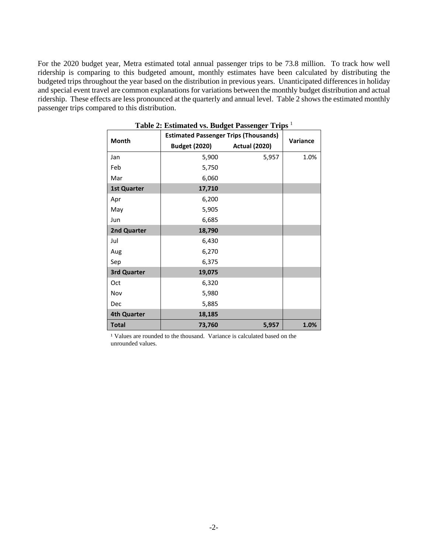For the 2020 budget year, Metra estimated total annual passenger trips to be 73.8 million. To track how well ridership is comparing to this budgeted amount, monthly estimates have been calculated by distributing the budgeted trips throughout the year based on the distribution in previous years. Unanticipated differences in holiday and special event travel are common explanations for variations between the monthly budget distribution and actual ridership. These effects are less pronounced at the quarterly and annual level. Table 2 shows the estimated monthly passenger trips compared to this distribution.

| <b>Month</b>       | <b>Estimated Passenger Trips (Thousands)</b> | Variance             |      |
|--------------------|----------------------------------------------|----------------------|------|
|                    | <b>Budget (2020)</b>                         | <b>Actual (2020)</b> |      |
| Jan                | 5,900                                        | 5,957                | 1.0% |
| Feb                | 5,750                                        |                      |      |
| Mar                | 6,060                                        |                      |      |
| <b>1st Quarter</b> | 17,710                                       |                      |      |
| Apr                | 6,200                                        |                      |      |
| May                | 5,905                                        |                      |      |
| Jun                | 6,685                                        |                      |      |
| 2nd Quarter        | 18,790                                       |                      |      |
| Jul                | 6,430                                        |                      |      |
| Aug                | 6,270                                        |                      |      |
| Sep                | 6,375                                        |                      |      |
| <b>3rd Quarter</b> | 19,075                                       |                      |      |
| Oct                | 6,320                                        |                      |      |
| Nov                | 5,980                                        |                      |      |
| Dec                | 5,885                                        |                      |      |
| <b>4th Quarter</b> | 18,185                                       |                      |      |
| <b>Total</b>       | 73,760                                       | 5,957                | 1.0% |

**Table 2: Estimated vs. Budget Passenger Trips** <sup>1</sup>

<span id="page-3-0"></span><sup>1</sup> Values are rounded to the thousand. Variance is calculated based on the unrounded values.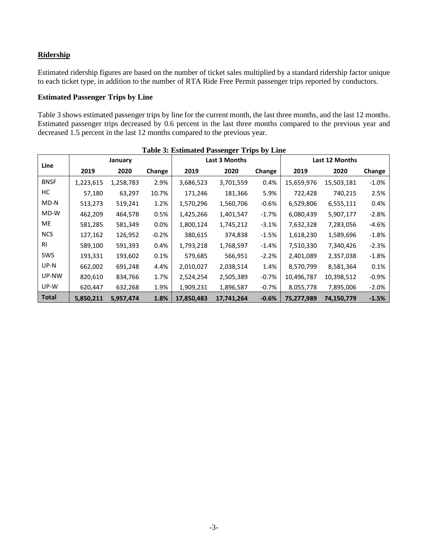## **Ridership**

Estimated ridership figures are based on the number of ticket sales multiplied by a standard ridership factor unique to each ticket type, in addition to the number of RTA Ride Free Permit passenger trips reported by conductors.

## <span id="page-4-0"></span>**Estimated Passenger Trips by Line**

Table 3 shows estimated passenger trips by line for the current month, the last three months, and the last 12 months. Estimated passenger trips decreased by 0.6 percent in the last three months compared to the previous year and decreased 1.5 percent in the last 12 months compared to the previous year.

|              | Table 5: Estimated I assenger Trips by Ellie |           |          |            |               |         |            |                |         |  |  |  |
|--------------|----------------------------------------------|-----------|----------|------------|---------------|---------|------------|----------------|---------|--|--|--|
| Line         |                                              | January   |          |            | Last 3 Months |         |            | Last 12 Months |         |  |  |  |
|              | 2019                                         | 2020      | Change   | 2019       | 2020          | Change  | 2019       | 2020           | Change  |  |  |  |
| <b>BNSF</b>  | 1,223,615                                    | 1,258,783 | 2.9%     | 3,686,523  | 3,701,559     | 0.4%    | 15,659,976 | 15,503,181     | $-1.0%$ |  |  |  |
| НC           | 57,180                                       | 63,297    | 10.7%    | 171,246    | 181,366       | 5.9%    | 722,428    | 740,215        | 2.5%    |  |  |  |
| MD-N         | 513,273                                      | 519,241   | 1.2%     | 1,570,296  | 1,560,706     | $-0.6%$ | 6,529,806  | 6,555,111      | 0.4%    |  |  |  |
| MD-W         | 462,209                                      | 464,578   | 0.5%     | 1,425,266  | 1,401,547     | $-1.7%$ | 6,080,439  | 5,907,177      | $-2.8%$ |  |  |  |
| ME           | 581,285                                      | 581,349   | $0.0\%$  | 1,800,124  | 1,745,212     | $-3.1%$ | 7,632,328  | 7,283,056      | $-4.6%$ |  |  |  |
| <b>NCS</b>   | 127,162                                      | 126,952   | $-0.2\%$ | 380,615    | 374,838       | $-1.5%$ | 1,618,230  | 1,589,696      | $-1.8%$ |  |  |  |
| RI           | 589,100                                      | 591,393   | 0.4%     | 1,793,218  | 1,768,597     | $-1.4%$ | 7,510,330  | 7,340,426      | $-2.3%$ |  |  |  |
| SWS          | 193,331                                      | 193,602   | 0.1%     | 579,685    | 566,951       | $-2.2%$ | 2,401,089  | 2,357,038      | $-1.8%$ |  |  |  |
| UP-N         | 662,002                                      | 691,248   | 4.4%     | 2,010,027  | 2,038,514     | 1.4%    | 8,570,799  | 8,581,364      | 0.1%    |  |  |  |
| UP-NW        | 820,610                                      | 834,766   | 1.7%     | 2,524,254  | 2,505,389     | $-0.7%$ | 10,496,787 | 10,398,512     | $-0.9%$ |  |  |  |
| UP-W         | 620,447                                      | 632,268   | 1.9%     | 1,909,231  | 1,896,587     | $-0.7%$ | 8,055,778  | 7,895,006      | $-2.0%$ |  |  |  |
| <b>Total</b> | 5,850,211                                    | 5,957,474 | 1.8%     | 17,850,483 | 17,741,264    | $-0.6%$ | 75,277,989 | 74,150,779     | $-1.5%$ |  |  |  |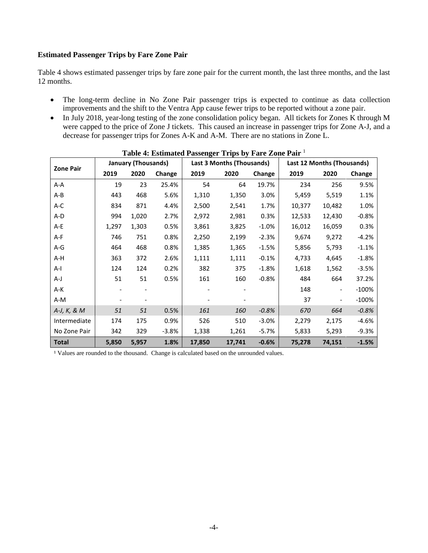#### <span id="page-5-0"></span>**Estimated Passenger Trips by Fare Zone Pair**

Table 4 shows estimated passenger trips by fare zone pair for the current month, the last three months, and the last 12 months.

- The long-term decline in No Zone Pair passenger trips is expected to continue as data collection improvements and the shift to the Ventra App cause fewer trips to be reported without a zone pair.
- In July 2018, year-long testing of the zone consolidation policy began. All tickets for Zones K through M were capped to the price of Zone J tickets. This caused an increase in passenger trips for Zone A-J, and a decrease for passenger trips for Zones A-K and A-M. There are no stations in Zone L.

| <b>Zone Pair</b> |       | <b>January (Thousands)</b> |         |        | Last 3 Months (Thousands) |         |        | Last 12 Months (Thousands) |         |  |  |
|------------------|-------|----------------------------|---------|--------|---------------------------|---------|--------|----------------------------|---------|--|--|
|                  | 2019  | 2020                       | Change  | 2019   | 2020                      | Change  | 2019   | 2020                       | Change  |  |  |
| A-A              | 19    | 23                         | 25.4%   | 54     | 64                        | 19.7%   | 234    | 256                        | 9.5%    |  |  |
| A-B              | 443   | 468                        | 5.6%    | 1,310  | 1,350                     | 3.0%    | 5,459  | 5,519                      | 1.1%    |  |  |
| A-C              | 834   | 871                        | 4.4%    | 2,500  | 2,541                     | 1.7%    | 10,377 | 10,482                     | 1.0%    |  |  |
| A-D              | 994   | 1,020                      | 2.7%    | 2,972  | 2,981                     | 0.3%    | 12,533 | 12,430                     | $-0.8%$ |  |  |
| A-E              | 1,297 | 1,303                      | 0.5%    | 3,861  | 3,825                     | $-1.0%$ | 16,012 | 16,059                     | 0.3%    |  |  |
| A-F              | 746   | 751                        | 0.8%    | 2,250  | 2,199                     | $-2.3%$ | 9,674  | 9,272                      | $-4.2%$ |  |  |
| $A-G$            | 464   | 468                        | 0.8%    | 1,385  | 1,365                     | $-1.5%$ | 5,856  | 5,793                      | $-1.1%$ |  |  |
| A-H              | 363   | 372                        | 2.6%    | 1,111  | 1,111                     | $-0.1%$ | 4,733  | 4,645                      | $-1.8%$ |  |  |
| A-l              | 124   | 124                        | 0.2%    | 382    | 375                       | $-1.8%$ | 1,618  | 1,562                      | $-3.5%$ |  |  |
| A-J              | 51    | 51                         | 0.5%    | 161    | 160                       | $-0.8%$ | 484    | 664                        | 37.2%   |  |  |
| A-K              |       |                            |         |        |                           |         | 148    | $\overline{\phantom{a}}$   | $-100%$ |  |  |
| A-M              |       |                            |         |        |                           |         | 37     | $\overline{\phantom{0}}$   | $-100%$ |  |  |
| A-J, K, & M      | 51    | 51                         | 0.5%    | 161    | 160                       | $-0.8%$ | 670    | 664                        | $-0.8%$ |  |  |
| Intermediate     | 174   | 175                        | 0.9%    | 526    | 510                       | $-3.0%$ | 2,279  | 2,175                      | $-4.6%$ |  |  |
| No Zone Pair     | 342   | 329                        | $-3.8%$ | 1,338  | 1,261                     | $-5.7%$ | 5,833  | 5,293                      | $-9.3%$ |  |  |
| <b>Total</b>     | 5,850 | 5,957                      | 1.8%    | 17,850 | 17,741                    | $-0.6%$ | 75,278 | 74,151                     | $-1.5%$ |  |  |

<sup>1</sup> Values are rounded to the thousand. Change is calculated based on the unrounded values.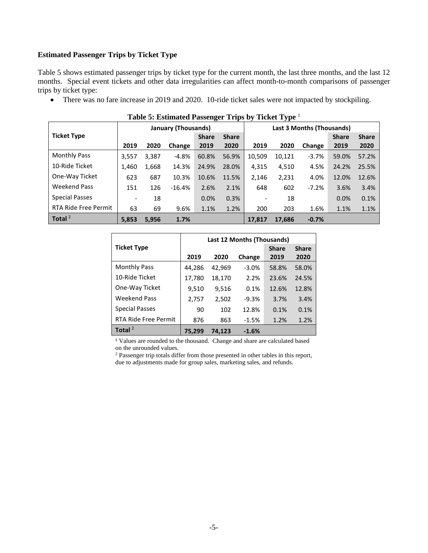#### <span id="page-6-0"></span>**Estimated Passenger Trips by Ticket Type**

Table 5 shows estimated passenger trips by ticket type for the current month, the last three months, and the last 12 months. Special event tickets and other data irregularities can affect month-to-month comparisons of passenger trips by ticket type:

• There was no fare increase in 2019 and 2020. 10-ride ticket sales were not impacted by stockpiling.

| Twore of Eduardated I addening the respective $\mathbf{r}$ , pro |                          |       |                     |              |              |                           |        |         |              |              |  |
|------------------------------------------------------------------|--------------------------|-------|---------------------|--------------|--------------|---------------------------|--------|---------|--------------|--------------|--|
|                                                                  |                          |       | January (Thousands) |              |              | Last 3 Months (Thousands) |        |         |              |              |  |
| <b>Ticket Type</b>                                               |                          |       |                     | <b>Share</b> | <b>Share</b> |                           |        |         | <b>Share</b> | <b>Share</b> |  |
|                                                                  | 2019                     | 2020  | Change              | 2019         | 2020         | 2019                      | 2020   | Change  | 2019         | 2020         |  |
| <b>Monthly Pass</b>                                              | 3,557                    | 3,387 | $-4.8%$             | 60.8%        | 56.9%        | 10,509                    | 10,121 | $-3.7%$ | 59.0%        | 57.2%        |  |
| 10-Ride Ticket                                                   | 1,460                    | 1,668 | 14.3%               | 24.9%        | 28.0%        | 4,315                     | 4,510  | 4.5%    | 24.2%        | 25.5%        |  |
| One-Way Ticket                                                   | 623                      | 687   | 10.3%               | 10.6%        | 11.5%        | 2,146                     | 2,231  | 4.0%    | 12.0%        | 12.6%        |  |
| <b>Weekend Pass</b>                                              | 151                      | 126   | $-16.4%$            | 2.6%         | 2.1%         | 648                       | 602    | $-7.2%$ | 3.6%         | 3.4%         |  |
| <b>Special Passes</b>                                            | $\overline{\phantom{a}}$ | 18    |                     | 0.0%         | 0.3%         |                           | 18     |         | $0.0\%$      | 0.1%         |  |
| <b>RTA Ride Free Permit</b>                                      | 63                       | 69    | 9.6%                | 1.1%         | 1.2%         | 200                       | 203    | 1.6%    | 1.1%         | 1.1%         |  |
| Total $^2$                                                       | 5.853                    | 5,956 | 1.7%                |              |              | 17.817                    | 17,686 | $-0.7%$ |              |              |  |

|  | Table 5: Estimated Passenger Trips by Ticket Type 1 |  |  |  |  |  |  |
|--|-----------------------------------------------------|--|--|--|--|--|--|
|--|-----------------------------------------------------|--|--|--|--|--|--|

|                             | Last 12 Months (Thousands) |        |         |              |              |  |  |  |  |
|-----------------------------|----------------------------|--------|---------|--------------|--------------|--|--|--|--|
| <b>Ticket Type</b>          |                            |        |         | <b>Share</b> | <b>Share</b> |  |  |  |  |
|                             | 2019                       | 2020   | Change  | 2019         | 2020         |  |  |  |  |
| <b>Monthly Pass</b>         | 44,286                     | 42,969 | $-3.0%$ | 58.8%        | 58.0%        |  |  |  |  |
| 10-Ride Ticket              | 17,780                     | 18,170 | 2.2%    | 23.6%        | 24.5%        |  |  |  |  |
| One-Way Ticket              | 9,510                      | 9,516  | 0.1%    | 12.6%        | 12.8%        |  |  |  |  |
| <b>Weekend Pass</b>         | 2,757                      | 2,502  | $-9.3%$ | 3.7%         | 3.4%         |  |  |  |  |
| <b>Special Passes</b>       | 90                         | 102    | 12.8%   | 0.1%         | 0.1%         |  |  |  |  |
| <b>RTA Ride Free Permit</b> | 876                        | 863    | $-1.5%$ | 1.2%         | 1.2%         |  |  |  |  |
| Total $2$                   | 75.299                     | 74.123 | $-1.6%$ |              |              |  |  |  |  |

<sup>1</sup> Values are rounded to the thousand. Change and share are calculated based on the unrounded values.

<sup>2</sup> Passenger trip totals differ from those presented in other tables in this report, due to adjustments made for group sales, marketing sales, and refunds.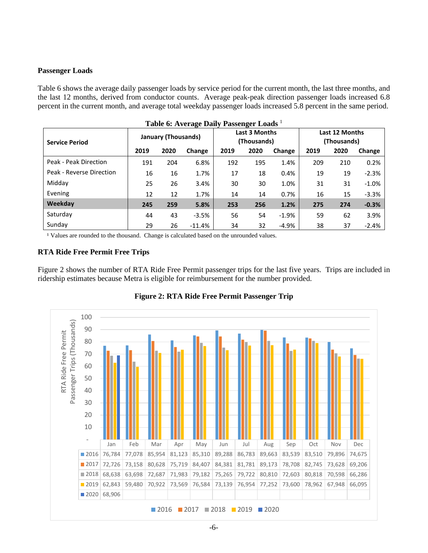### <span id="page-7-0"></span>**Passenger Loads**

Table 6 shows the average daily passenger loads by service period for the current month, the last three months, and the last 12 months, derived from conductor counts. Average peak-peak direction passenger loads increased 6.8 percent in the current month, and average total weekday passenger loads increased 5.8 percent in the same period.

| Table 6: Average Daily Passenger Loads <sup>1</sup> |      |                            |          |      |                                     |         |                               |      |         |  |  |
|-----------------------------------------------------|------|----------------------------|----------|------|-------------------------------------|---------|-------------------------------|------|---------|--|--|
| <b>Service Period</b>                               |      | <b>January (Thousands)</b> |          |      | <b>Last 3 Months</b><br>(Thousands) |         | Last 12 Months<br>(Thousands) |      |         |  |  |
|                                                     | 2019 | 2020                       | Change   | 2019 | 2020                                | Change  | 2019                          | 2020 | Change  |  |  |
| Peak - Peak Direction                               | 191  | 204                        | 6.8%     | 192  | 195                                 | 1.4%    | 209                           | 210  | 0.2%    |  |  |
| Peak - Reverse Direction                            | 16   | 16                         | 1.7%     | 17   | 18                                  | 0.4%    | 19                            | 19   | $-2.3%$ |  |  |
| Midday                                              | 25   | 26                         | 3.4%     | 30   | 30                                  | 1.0%    | 31                            | 31   | $-1.0%$ |  |  |
| Evening                                             | 12   | 12                         | 1.7%     | 14   | 14                                  | 0.7%    | 16                            | 15   | $-3.3%$ |  |  |
| Weekday                                             | 245  | 259                        | 5.8%     | 253  | 256                                 | 1.2%    | 275                           | 274  | $-0.3%$ |  |  |
| Saturday                                            | 44   | 43                         | $-3.5%$  | 56   | 54                                  | $-1.9%$ | 59                            | 62   | 3.9%    |  |  |
| Sunday                                              | 29   | 26                         | $-11.4%$ | 34   | 32                                  | $-4.9%$ | 38                            | 37   | $-2.4%$ |  |  |

<sup>1</sup> Values are rounded to the thousand. Change is calculated based on the unrounded values.

## <span id="page-7-1"></span>**RTA Ride Free Permit Free Trips**

Figure 2 shows the number of RTA Ride Free Permit passenger trips for the last five years. Trips are included in ridership estimates because Metra is eligible for reimbursement for the number provided.



**Figure 2: RTA Ride Free Permit Passenger Trip**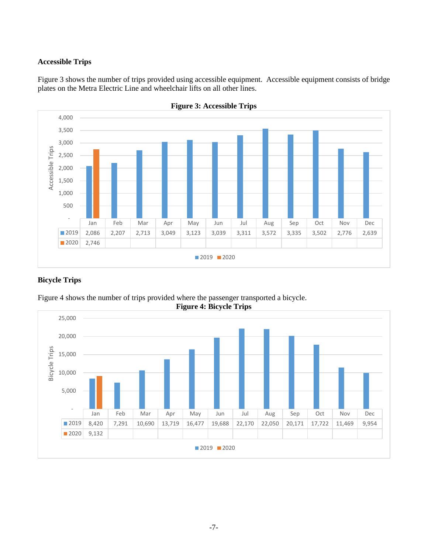## <span id="page-8-0"></span>**Accessible Trips**

Figure 3 shows the number of trips provided using accessible equipment. Accessible equipment consists of bridge plates on the Metra Electric Line and wheelchair lifts on all other lines.





## <span id="page-8-1"></span>**Bicycle Trips**



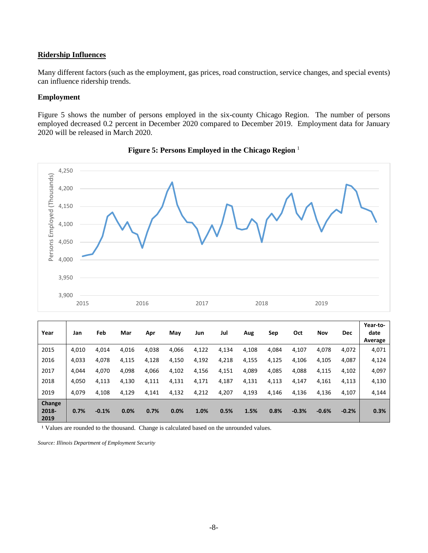#### <span id="page-9-0"></span>**Ridership Influences**

Many different factors (such as the employment, gas prices, road construction, service changes, and special events) can influence ridership trends.

#### <span id="page-9-1"></span>**Employment**

Figure 5 shows the number of persons employed in the six-county Chicago Region. The number of persons employed decreased 0.2 percent in December 2020 compared to December 2019. Employment data for January 2020 will be released in March 2020.



**Figure 5: Persons Employed in the Chicago Region** <sup>1</sup>

| Year                    | Jan   | Feb     | Mar   | Apr   | May   | Jun   | Jul   | Aug   | Sep   | Oct     | Nov     | <b>Dec</b> | Year-to-<br>date<br>Average |
|-------------------------|-------|---------|-------|-------|-------|-------|-------|-------|-------|---------|---------|------------|-----------------------------|
| 2015                    | 4.010 | 4,014   | 4,016 | 4,038 | 4,066 | 4,122 | 4,134 | 4,108 | 4,084 | 4,107   | 4,078   | 4,072      | 4,071                       |
| 2016                    | 4,033 | 4,078   | 4,115 | 4,128 | 4,150 | 4,192 | 4,218 | 4,155 | 4,125 | 4,106   | 4,105   | 4,087      | 4,124                       |
| 2017                    | 4.044 | 4,070   | 4,098 | 4,066 | 4,102 | 4,156 | 4,151 | 4,089 | 4,085 | 4,088   | 4,115   | 4,102      | 4,097                       |
| 2018                    | 4,050 | 4,113   | 4,130 | 4,111 | 4,131 | 4,171 | 4,187 | 4,131 | 4,113 | 4,147   | 4,161   | 4,113      | 4,130                       |
| 2019                    | 4.079 | 4,108   | 4,129 | 4,141 | 4,132 | 4,212 | 4,207 | 4,193 | 4,146 | 4,136   | 4,136   | 4,107      | 4,144                       |
| Change<br>2018-<br>2019 | 0.7%  | $-0.1%$ | 0.0%  | 0.7%  | 0.0%  | 1.0%  | 0.5%  | 1.5%  | 0.8%  | $-0.3%$ | $-0.6%$ | $-0.2%$    | 0.3%                        |

<sup>1</sup> Values are rounded to the thousand. Change is calculated based on the unrounded values.

*Source: Illinois Department of Employment Security*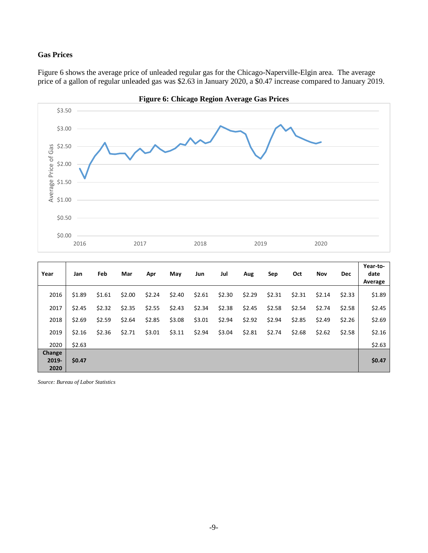## <span id="page-10-0"></span>**Gas Prices**

Figure 6 shows the average price of unleaded regular gas for the Chicago-Naperville-Elgin area. The average price of a gallon of regular unleaded gas was \$2.63 in January 2020, a \$0.47 increase compared to January 2019.



**Year Jan Feb Mar Apr May Jun Jul Aug Sep Oct Nov Dec Year-todate Average** 2016 | \$1.89 \$1.61 \$2.00 \$2.24 \$2.40 \$2.61 \$2.30 \$2.31 \$2.31 \$2.31 \$2.33 \$1.89 2017 \$2.45 \$2.32 \$2.35 \$2.55 \$2.43 \$2.34 \$2.38 \$2.45 \$2.58 \$2.54 \$2.74 \$2.58 \$2.45 2018 | \$2.69 \$2.59 \$2.64 \$2.85 \$3.01 \$2.94 \$2.94 \$2.85 \$2.49 \$2.26 \$2.69 2019 | \$2.16 \$2.36 \$2.71 \$3.01 \$3.11 \$2.04 \$2.81 \$2.74 \$2.68 \$2.58 \$2.16 2020 \$2.63 \$0.00 \$0.00 \$0.00 \$0.00 \$0.00 \$0.00 \$0.00 \$0.00 \$0.00 \$0.00 \$2.63 **Change 2019- 2020 \$0.47 \$0.47**

*Source: Bureau of Labor Statistics*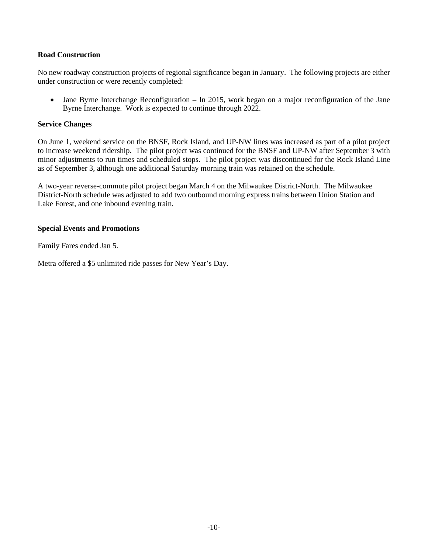#### <span id="page-11-0"></span>**Road Construction**

No new roadway construction projects of regional significance began in January. The following projects are either under construction or were recently completed:

• Jane Byrne Interchange Reconfiguration – In 2015, work began on a major reconfiguration of the Jane Byrne Interchange. Work is expected to continue through 2022.

#### <span id="page-11-1"></span>**Service Changes**

On June 1, weekend service on the BNSF, Rock Island, and UP-NW lines was increased as part of a pilot project to increase weekend ridership. The pilot project was continued for the BNSF and UP-NW after September 3 with minor adjustments to run times and scheduled stops. The pilot project was discontinued for the Rock Island Line as of September 3, although one additional Saturday morning train was retained on the schedule.

A two-year reverse-commute pilot project began March 4 on the Milwaukee District-North. The Milwaukee District-North schedule was adjusted to add two outbound morning express trains between Union Station and Lake Forest, and one inbound evening train.

## <span id="page-11-2"></span>**Special Events and Promotions**

Family Fares ended Jan 5.

<span id="page-11-3"></span>Metra offered a \$5 unlimited ride passes for New Year's Day.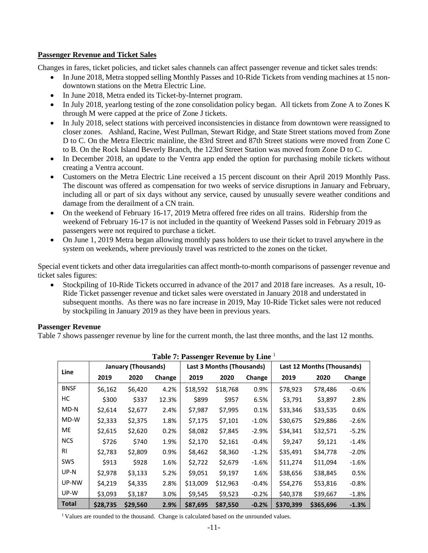## **Passenger Revenue and Ticket Sales**

Changes in fares, ticket policies, and ticket sales channels can affect passenger revenue and ticket sales trends:

- In June 2018, Metra stopped selling Monthly Passes and 10-Ride Tickets from vending machines at 15 nondowntown stations on the Metra Electric Line.
- In June 2018, Metra ended its Ticket-by-Internet program.
- In July 2018, yearlong testing of the zone consolidation policy began. All tickets from Zone A to Zones K through M were capped at the price of Zone J tickets.
- In July 2018, select stations with perceived inconsistencies in distance from downtown were reassigned to closer zones. Ashland, Racine, West Pullman, Stewart Ridge, and State Street stations moved from Zone D to C. On the Metra Electric mainline, the 83rd Street and 87th Street stations were moved from Zone C to B. On the Rock Island Beverly Branch, the 123rd Street Station was moved from Zone D to C.
- In December 2018, an update to the Ventra app ended the option for purchasing mobile tickets without creating a Ventra account.
- Customers on the Metra Electric Line received a 15 percent discount on their April 2019 Monthly Pass. The discount was offered as compensation for two weeks of service disruptions in January and February, including all or part of six days without any service, caused by unusually severe weather conditions and damage from the derailment of a CN train.
- On the weekend of February 16-17, 2019 Metra offered free rides on all trains. Ridership from the weekend of February 16-17 is not included in the quantity of Weekend Passes sold in February 2019 as passengers were not required to purchase a ticket.
- On June 1, 2019 Metra began allowing monthly pass holders to use their ticket to travel anywhere in the system on weekends, where previously travel was restricted to the zones on the ticket.

Special event tickets and other data irregularities can affect month-to-month comparisons of passenger revenue and ticket sales figures:

• Stockpiling of 10-Ride Tickets occurred in advance of the 2017 and 2018 fare increases. As a result, 10-Ride Ticket passenger revenue and ticket sales were overstated in January 2018 and understated in subsequent months. As there was no fare increase in 2019, May 10-Ride Ticket sales were not reduced by stockpiling in January 2019 as they have been in previous years.

## <span id="page-12-0"></span>**Passenger Revenue**

Table 7 shows passenger revenue by line for the current month, the last three months, and the last 12 months.

| <b>Table 7: Passenger Revenue by Line</b> |          |                            |        |          |                                  |          |                                   |           |          |  |  |
|-------------------------------------------|----------|----------------------------|--------|----------|----------------------------------|----------|-----------------------------------|-----------|----------|--|--|
| <b>Line</b>                               |          | <b>January (Thousands)</b> |        |          | <b>Last 3 Months (Thousands)</b> |          | <b>Last 12 Months (Thousands)</b> |           |          |  |  |
|                                           | 2019     | 2020                       | Change | 2019     | 2020                             | Change   | 2019                              | 2020      | Change   |  |  |
| <b>BNSF</b>                               | \$6,162  | \$6,420                    | 4.2%   | \$18,592 | \$18,768                         | 0.9%     | \$78,923                          | \$78,486  | $-0.6%$  |  |  |
| нc                                        | \$300    | \$337                      | 12.3%  | \$899    | \$957                            | 6.5%     | \$3,791                           | \$3,897   | 2.8%     |  |  |
| MD-N                                      | \$2,614  | \$2,677                    | 2.4%   | \$7,987  | \$7,995                          | 0.1%     | \$33,346                          | \$33,535  | 0.6%     |  |  |
| MD-W                                      | \$2,333  | \$2,375                    | 1.8%   | \$7,175  | \$7,101                          | $-1.0%$  | \$30,675                          | \$29,886  | $-2.6%$  |  |  |
| ME                                        | \$2,615  | \$2,620                    | 0.2%   | \$8,082  | \$7,845                          | $-2.9%$  | \$34,341                          | \$32,571  | $-5.2%$  |  |  |
| <b>NCS</b>                                | \$726    | \$740                      | 1.9%   | \$2,170  | \$2,161                          | $-0.4%$  | \$9,247                           | \$9,121   | $-1.4%$  |  |  |
| <b>RI</b>                                 | \$2,783  | \$2,809                    | 0.9%   | \$8,462  | \$8,360                          | $-1.2%$  | \$35,491                          | \$34,778  | $-2.0%$  |  |  |
| SWS                                       | \$913    | \$928                      | 1.6%   | \$2,722  | \$2,679                          | $-1.6%$  | \$11,274                          | \$11,094  | $-1.6%$  |  |  |
| UP-N                                      | \$2,978  | \$3,133                    | 5.2%   | \$9,051  | \$9,197                          | 1.6%     | \$38,656                          | \$38,845  | 0.5%     |  |  |
| UP-NW                                     | \$4,219  | \$4,335                    | 2.8%   | \$13,009 | \$12,963                         | $-0.4\%$ | \$54,276                          | \$53,816  | $-0.8\%$ |  |  |
| UP-W                                      | \$3,093  | \$3,187                    | 3.0%   | \$9,545  | \$9,523                          | $-0.2%$  | \$40,378                          | \$39,667  | -1.8%    |  |  |
| <b>Total</b>                              | \$28,735 | \$29,560                   | 2.9%   | \$87,695 | \$87,550                         | $-0.2%$  | \$370,399                         | \$365,696 | $-1.3%$  |  |  |

<sup>1</sup> Values are rounded to the thousand. Change is calculated based on the unrounded values.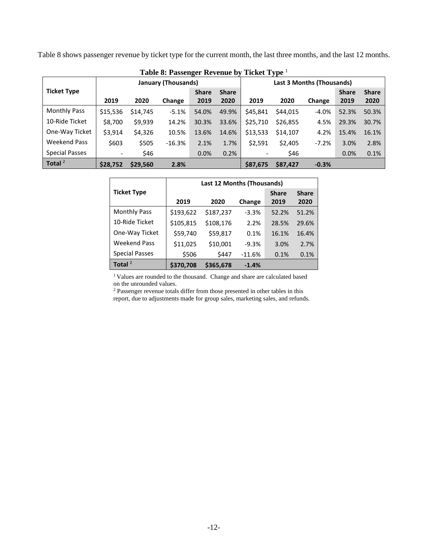Table 8 shows passenger revenue by ticket type for the current month, the last three months, and the last 12 months.

| Table 8: Fasseliger Revellue by Ticket Type |                          |          |                            |              |              |                           |          |         |              |              |
|---------------------------------------------|--------------------------|----------|----------------------------|--------------|--------------|---------------------------|----------|---------|--------------|--------------|
|                                             |                          |          | <b>January (Thousands)</b> |              |              | Last 3 Months (Thousands) |          |         |              |              |
| <b>Ticket Type</b>                          |                          |          |                            | <b>Share</b> | <b>Share</b> |                           |          |         | <b>Share</b> | <b>Share</b> |
|                                             | 2019                     | 2020     | Change                     | 2019         | 2020         | 2019                      | 2020     | Change  | 2019         | 2020         |
| <b>Monthly Pass</b>                         | \$15,536                 | \$14,745 | $-5.1%$                    | 54.0%        | 49.9%        | \$45,841                  | \$44,015 | $-4.0%$ | 52.3%        | 50.3%        |
| 10-Ride Ticket                              | \$8,700                  | \$9,939  | 14.2%                      | 30.3%        | 33.6%        | \$25,710                  | \$26,855 | 4.5%    | 29.3%        | 30.7%        |
| One-Way Ticket                              | \$3,914                  | \$4,326  | 10.5%                      | 13.6%        | 14.6%        | \$13,533                  | \$14,107 | 4.2%    | 15.4%        | 16.1%        |
| <b>Weekend Pass</b>                         | \$603                    | \$505    | $-16.3%$                   | 2.1%         | 1.7%         | \$2.591                   | \$2,405  | $-7.2%$ | 3.0%         | 2.8%         |
| Special Passes                              | $\overline{\phantom{a}}$ | \$46     |                            | 0.0%         | 0.2%         |                           | \$46     |         | 0.0%         | 0.1%         |
| Total $^2$                                  | \$28,752                 | \$29,560 | 2.8%                       |              |              | \$87.675                  | \$87,427 | $-0.3%$ |              |              |

|  |  |  | Table 8: Passenger Revenue by Ticket Type <sup>1</sup> |
|--|--|--|--------------------------------------------------------|
|--|--|--|--------------------------------------------------------|

|                       |           | <b>Last 12 Months (Thousands)</b> |          |              |              |  |  |  |  |  |
|-----------------------|-----------|-----------------------------------|----------|--------------|--------------|--|--|--|--|--|
| <b>Ticket Type</b>    |           |                                   |          | <b>Share</b> | <b>Share</b> |  |  |  |  |  |
|                       | 2019      | 2020                              | Change   | 2019         | 2020         |  |  |  |  |  |
| <b>Monthly Pass</b>   | \$193,622 | \$187,237                         | $-3.3%$  | 52.2%        | 51.2%        |  |  |  |  |  |
| 10-Ride Ticket        | \$105,815 | \$108,176                         | 2.2%     | 28.5%        | 29.6%        |  |  |  |  |  |
| One-Way Ticket        | \$59,740  | \$59,817                          | 0.1%     | 16.1%        | 16.4%        |  |  |  |  |  |
| <b>Weekend Pass</b>   | \$11,025  | \$10,001                          | $-9.3%$  | 3.0%         | 2.7%         |  |  |  |  |  |
| <b>Special Passes</b> | \$506     | \$447                             | $-11.6%$ | 0.1%         | 0.1%         |  |  |  |  |  |
| Total $^2$            | \$370,708 | \$365,678                         | $-1.4%$  |              |              |  |  |  |  |  |

<sup>1</sup> Values are rounded to the thousand. Change and share are calculated based on the unrounded values.

<sup>2</sup> Passenger revenue totals differ from those presented in other tables in this report, due to adjustments made for group sales, marketing sales, and refunds.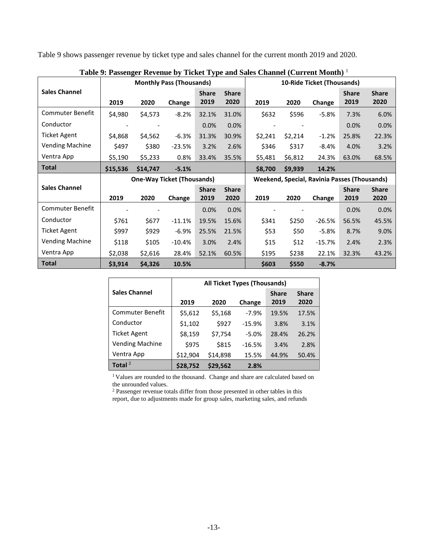Table 9 shows passenger revenue by ticket type and sales channel for the current month 2019 and 2020.

|                         |          |                                   | <b>Monthly Pass (Thousands)</b> | ------ <i>-</i> -- |              |         |         | 10-Ride Ticket (Thousands)                   |              |              |
|-------------------------|----------|-----------------------------------|---------------------------------|--------------------|--------------|---------|---------|----------------------------------------------|--------------|--------------|
| <b>Sales Channel</b>    |          |                                   |                                 | <b>Share</b>       | <b>Share</b> |         |         |                                              | <b>Share</b> | <b>Share</b> |
|                         | 2019     | 2020                              | Change                          | 2019               | 2020         | 2019    | 2020    | Change                                       | 2019         | 2020         |
| <b>Commuter Benefit</b> | \$4,980  | \$4,573                           | $-8.2%$                         | 32.1%              | 31.0%        | \$632   | \$596   | $-5.8%$                                      | 7.3%         | 6.0%         |
| Conductor               |          |                                   |                                 | 0.0%               | 0.0%         |         |         |                                              | 0.0%         | 0.0%         |
| <b>Ticket Agent</b>     | \$4,868  | \$4,562                           | $-6.3%$                         | 31.3%              | 30.9%        | \$2,241 | \$2,214 | $-1.2%$                                      | 25.8%        | 22.3%        |
| <b>Vending Machine</b>  | \$497    | \$380                             | $-23.5%$                        | 3.2%               | 2.6%         | \$346   | \$317   | $-8.4%$                                      | 4.0%         | 3.2%         |
| Ventra App              | \$5,190  | \$5,233                           | 0.8%                            | 33.4%              | 35.5%        | \$5,481 | \$6,812 | 24.3%                                        | 63.0%        | 68.5%        |
| <b>Total</b>            | \$15,536 | \$14,747                          | $-5.1%$                         |                    |              | \$8,700 | \$9,939 | 14.2%                                        |              |              |
|                         |          |                                   |                                 |                    |              |         |         |                                              |              |              |
|                         |          | <b>One-Way Ticket (Thousands)</b> |                                 |                    |              |         |         | Weekend, Special, Ravinia Passes (Thousands) |              |              |
| <b>Sales Channel</b>    |          |                                   |                                 | <b>Share</b>       | <b>Share</b> |         |         |                                              | <b>Share</b> | <b>Share</b> |
|                         | 2019     | 2020                              | Change                          | 2019               | 2020         | 2019    | 2020    | Change                                       | 2019         | 2020         |
| Commuter Benefit        |          |                                   |                                 | 0.0%               | 0.0%         |         |         |                                              | 0.0%         | 0.0%         |
| Conductor               | \$761    | \$677                             | $-11.1%$                        | 19.5%              | 15.6%        | \$341   | \$250   | $-26.5%$                                     | 56.5%        | 45.5%        |
| <b>Ticket Agent</b>     | \$997    | \$929                             | $-6.9%$                         | 25.5%              | 21.5%        | \$53    | \$50    | $-5.8%$                                      | 8.7%         | 9.0%         |
| <b>Vending Machine</b>  | \$118    | \$105                             | $-10.4%$                        | 3.0%               | 2.4%         | \$15    | \$12    | $-15.7%$                                     | 2.4%         | 2.3%         |
| Ventra App              | \$2,038  | \$2,616                           | 28.4%                           | 52.1%              | 60.5%        | \$195   | \$238   | 22.1%                                        | 32.3%        | 43.2%        |

**Table 9: Passenger Revenue by Ticket Type and Sales Channel (Current Month)** <sup>1</sup>

|                         | All Ticket Types (Thousands) |          |          |              |              |  |  |  |  |
|-------------------------|------------------------------|----------|----------|--------------|--------------|--|--|--|--|
| <b>Sales Channel</b>    |                              |          |          | <b>Share</b> | <b>Share</b> |  |  |  |  |
|                         | 2019                         | 2020     | Change   | 2019         | 2020         |  |  |  |  |
| <b>Commuter Benefit</b> | \$5,612                      | \$5,168  | $-7.9%$  | 19.5%        | 17.5%        |  |  |  |  |
| Conductor               | \$1,102                      | \$927    | $-15.9%$ | 3.8%         | 3.1%         |  |  |  |  |
| <b>Ticket Agent</b>     | \$8,159                      | \$7,754  | $-5.0%$  | 28.4%        | 26.2%        |  |  |  |  |
| <b>Vending Machine</b>  | \$975                        | \$815    | $-16.5%$ | 3.4%         | 2.8%         |  |  |  |  |
| Ventra App              | \$12,904                     | \$14,898 | 15.5%    | 44.9%        | 50.4%        |  |  |  |  |
| Total $^2$              | \$28,752                     | \$29,562 | 2.8%     |              |              |  |  |  |  |

<sup>1</sup> Values are rounded to the thousand. Change and share are calculated based on the unrounded values.

<sup>2</sup> Passenger revenue totals differ from those presented in other tables in this report, due to adjustments made for group sales, marketing sales, and refunds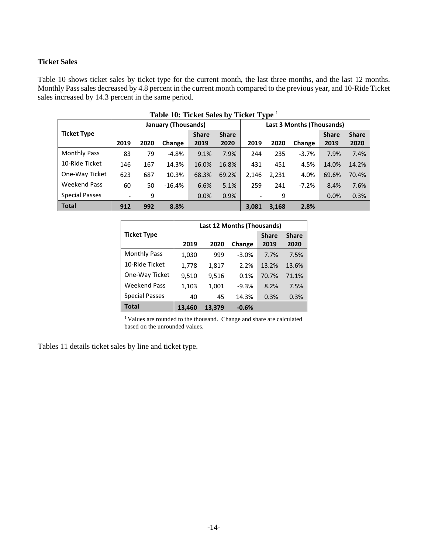## <span id="page-15-0"></span>**Ticket Sales**

Table 10 shows ticket sales by ticket type for the current month, the last three months, and the last 12 months. Monthly Pass sales decreased by 4.8 percent in the current month compared to the previous year, and 10-Ride Ticket sales increased by 14.3 percent in the same period.

|                       | Table 10: Ticket Sales by Ticket Type <sup>1</sup> |      |                     |              |              |                          |       |                           |              |              |
|-----------------------|----------------------------------------------------|------|---------------------|--------------|--------------|--------------------------|-------|---------------------------|--------------|--------------|
|                       |                                                    |      | January (Thousands) |              |              |                          |       | Last 3 Months (Thousands) |              |              |
| <b>Ticket Type</b>    |                                                    |      |                     | <b>Share</b> | <b>Share</b> |                          |       |                           | <b>Share</b> | <b>Share</b> |
|                       | 2019                                               | 2020 | Change              | 2019         | 2020         | 2019                     | 2020  | Change                    | 2019         | 2020         |
| <b>Monthly Pass</b>   | 83                                                 | 79   | $-4.8%$             | 9.1%         | 7.9%         | 244                      | 235   | $-3.7%$                   | 7.9%         | 7.4%         |
| 10-Ride Ticket        | 146                                                | 167  | 14.3%               | 16.0%        | 16.8%        | 431                      | 451   | 4.5%                      | 14.0%        | 14.2%        |
| One-Way Ticket        | 623                                                | 687  | 10.3%               | 68.3%        | 69.2%        | 2,146                    | 2,231 | 4.0%                      | 69.6%        | 70.4%        |
| <b>Weekend Pass</b>   | 60                                                 | 50   | $-16.4%$            | 6.6%         | 5.1%         | 259                      | 241   | $-7.2%$                   | 8.4%         | 7.6%         |
| <b>Special Passes</b> | $\overline{\phantom{a}}$                           | 9    |                     | 0.0%         | 0.9%         | $\overline{\phantom{a}}$ | 9     |                           | 0.0%         | 0.3%         |
| <b>Total</b>          | 912                                                | 992  | 8.8%                |              |              | 3.081                    | 3,168 | 2.8%                      |              |              |

|                       | Last 12 Months (Thousands) |        |         |              |              |  |  |  |  |
|-----------------------|----------------------------|--------|---------|--------------|--------------|--|--|--|--|
| <b>Ticket Type</b>    |                            |        |         | <b>Share</b> | <b>Share</b> |  |  |  |  |
|                       | 2019                       | 2020   | Change  | 2019         | 2020         |  |  |  |  |
| <b>Monthly Pass</b>   | 1,030                      | 999    | $-3.0%$ | 7.7%         | 7.5%         |  |  |  |  |
| 10-Ride Ticket        | 1,778                      | 1,817  | 2.2%    | 13.2%        | 13.6%        |  |  |  |  |
| One-Way Ticket        | 9,510                      | 9,516  | 0.1%    | 70.7%        | 71.1%        |  |  |  |  |
| <b>Weekend Pass</b>   | 1,103                      | 1,001  | $-9.3%$ | 8.2%         | 7.5%         |  |  |  |  |
| <b>Special Passes</b> | 40                         | 45     | 14.3%   | 0.3%         | 0.3%         |  |  |  |  |
| Total                 | 13,460                     | 13.379 | $-0.6%$ |              |              |  |  |  |  |

<sup>1</sup> Values are rounded to the thousand. Change and share are calculated based on the unrounded values.

Tables 11 details ticket sales by line and ticket type.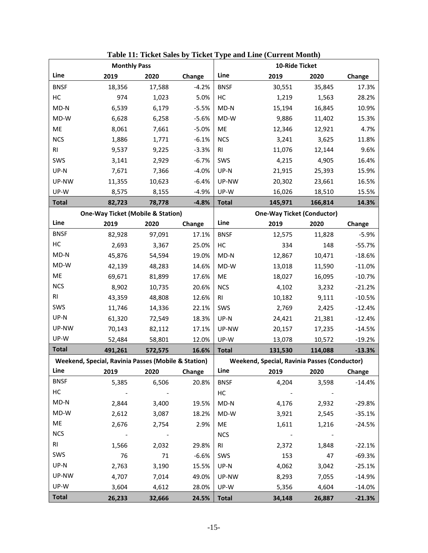|              |                                                     | <b>Monthly Pass</b>     |         | 10-Ride Ticket |                                                     |                                   |          |  |
|--------------|-----------------------------------------------------|-------------------------|---------|----------------|-----------------------------------------------------|-----------------------------------|----------|--|
| Line         | 2019                                                | 2020                    | Change  | Line           | 2019                                                | 2020                              | Change   |  |
| <b>BNSF</b>  | 18,356                                              | 17,588                  | $-4.2%$ | <b>BNSF</b>    | 30,551                                              | 35,845                            | 17.3%    |  |
| HC           | 974                                                 | 1,023                   | 5.0%    | HC             | 1,219                                               | 1,563                             | 28.2%    |  |
| $MD-N$       | 6,539                                               | 6,179                   | $-5.5%$ | $MD-N$         | 15,194                                              | 16,845                            | 10.9%    |  |
| MD-W         | 6,628                                               | 6,258                   | $-5.6%$ | MD-W           | 9,886                                               | 11,402                            | 15.3%    |  |
| ME           | 8,061                                               | 7,661                   | $-5.0%$ | ME             | 12,346                                              | 12,921                            | 4.7%     |  |
| <b>NCS</b>   | 1,886                                               | 1,771                   | $-6.1%$ | <b>NCS</b>     | 3,241                                               | 3,625                             | 11.8%    |  |
| <b>RI</b>    | 9,537                                               | 9,225                   | $-3.3%$ | RI             | 11,076                                              | 12,144                            | 9.6%     |  |
| SWS          | 3,141                                               | 2,929                   | $-6.7%$ | SWS            | 4,215                                               | 4,905                             | 16.4%    |  |
| UP-N         | 7,671                                               | 7,366                   | $-4.0%$ | UP-N           | 21,915                                              | 25,393                            | 15.9%    |  |
| UP-NW        | 11,355                                              | 10,623                  | $-6.4%$ | UP-NW          | 20,302                                              | 23,661                            | 16.5%    |  |
| UP-W         | 8,575                                               | 8,155                   | $-4.9%$ | UP-W           | 16,026                                              | 18,510                            | 15.5%    |  |
| <b>Total</b> | 82,723                                              | 78,778                  | $-4.8%$ | <b>Total</b>   | 145,971                                             | 166,814                           | 14.3%    |  |
|              | <b>One-Way Ticket (Mobile &amp; Station)</b>        |                         |         |                |                                                     | <b>One-Way Ticket (Conductor)</b> |          |  |
| Line         | 2019                                                | 2020                    | Change  | Line           | 2019                                                | 2020                              | Change   |  |
| <b>BNSF</b>  | 82,928                                              | 97,091                  | 17.1%   | <b>BNSF</b>    | 12,575                                              | 11,828                            | $-5.9%$  |  |
| HC           | 2,693                                               | 3,367                   | 25.0%   | НC             | 334                                                 | 148                               | $-55.7%$ |  |
| $MD-N$       | 45,876                                              | 54,594                  | 19.0%   | MD-N           | 12,867                                              | 10,471                            | $-18.6%$ |  |
| MD-W         | 42,139                                              | 48,283                  | 14.6%   | MD-W           | 13,018                                              | 11,590                            | $-11.0%$ |  |
| ME           | 69,671                                              | 81,899                  | 17.6%   | ME             | 18,027                                              | 16,095                            | $-10.7%$ |  |
| <b>NCS</b>   | 8,902                                               | 10,735                  | 20.6%   | <b>NCS</b>     | 4,102                                               | 3,232                             | $-21.2%$ |  |
| <b>RI</b>    | 43,359                                              | 48,808                  | 12.6%   | <b>RI</b>      | 10,182                                              | 9,111                             | $-10.5%$ |  |
| SWS          | 11,746                                              | 14,336                  | 22.1%   | SWS            | 2,769                                               | 2,425                             | $-12.4%$ |  |
| UP-N         | 61,320                                              | 72,549                  | 18.3%   | UP-N           | 24,421                                              | 21,381                            | $-12.4%$ |  |
| UP-NW        | 70,143                                              | 82,112                  | 17.1%   | UP-NW          | 20,157                                              | 17,235                            | $-14.5%$ |  |
| UP-W         | 52,484                                              | 58,801                  | 12.0%   | UP-W           | 13,078                                              | 10,572                            | $-19.2%$ |  |
| <b>Total</b> | 491,261                                             | 572,575                 | 16.6%   | <b>Total</b>   | 131,530                                             | 114,088                           | $-13.3%$ |  |
|              | Weekend, Special, Ravinia Passes (Mobile & Station) |                         |         |                | <b>Weekend, Special, Ravinia Passes (Conductor)</b> |                                   |          |  |
| Line         | 2019                                                | 2020                    | Change  | Line           | 2019                                                | 2020                              | Change   |  |
| <b>BNSF</b>  | 5,385                                               | 6,506                   | 20.8%   | <b>BNSF</b>    | 4,204                                               | 3,598                             | $-14.4%$ |  |
| HC           | $\sim 100$ km s $^{-1}$                             |                         |         | НC             |                                                     |                                   |          |  |
| $MD-N$       | 2,844                                               | 3,400                   | 19.5%   | $MD-N$         | 4,176                                               | 2,932                             | $-29.8%$ |  |
| MD-W         | 2,612                                               | 3,087                   | 18.2%   | MD-W           | 3,921                                               | 2,545                             | $-35.1%$ |  |
| ME           | 2,676                                               | 2,754                   | 2.9%    | ME             | 1,611                                               | 1,216                             | $-24.5%$ |  |
| <b>NCS</b>   | $\sim 100$ km s $^{-1}$                             | $\sim 100$ km s $^{-1}$ |         | <b>NCS</b>     | $\sim 100$ km s $^{-1}$                             |                                   |          |  |
| <b>RI</b>    | 1,566                                               | 2,032                   | 29.8%   | <b>RI</b>      | 2,372                                               | 1,848                             | $-22.1%$ |  |
| SWS          | 76                                                  | 71                      | $-6.6%$ | SWS            | 153                                                 | 47                                | $-69.3%$ |  |
| UP-N         | 2,763                                               | 3,190                   | 15.5%   | UP-N           | 4,062                                               | 3,042                             | $-25.1%$ |  |
| UP-NW        | 4,707                                               | 7,014                   | 49.0%   | UP-NW          | 8,293                                               | 7,055                             | $-14.9%$ |  |
| UP-W         | 3,604                                               | 4,612                   | 28.0%   | UP-W           | 5,356                                               | 4,604                             | $-14.0%$ |  |
| <b>Total</b> | 26,233                                              | 32,666                  | 24.5%   | <b>Total</b>   | 34,148                                              | 26,887                            | $-21.3%$ |  |

**Table 11: Ticket Sales by Ticket Type and Line (Current Month)**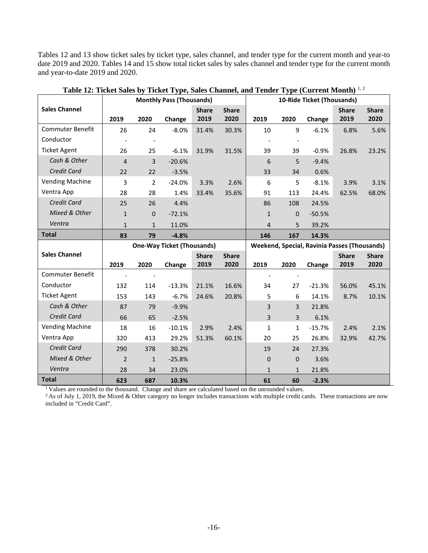Tables 12 and 13 show ticket sales by ticket type, sales channel, and tender type for the current month and year-to date 2019 and 2020. Tables 14 and 15 show total ticket sales by sales channel and tender type for the current month and year-to-date 2019 and 2020.

|                         |                |              | <b>Monthly Pass (Thousands)</b>   |              |              | 10-Ride Ticket (Thousands) |              |                                              |              |              |
|-------------------------|----------------|--------------|-----------------------------------|--------------|--------------|----------------------------|--------------|----------------------------------------------|--------------|--------------|
| <b>Sales Channel</b>    |                |              |                                   | <b>Share</b> | <b>Share</b> |                            |              |                                              | <b>Share</b> | <b>Share</b> |
|                         | 2019           | 2020         | Change                            | 2019         | 2020         | 2019                       | 2020         | Change                                       | 2019         | 2020         |
| Commuter Benefit        | 26             | 24           | $-8.0\%$                          | 31.4%        | 30.3%        | 10                         | 9            | $-6.1%$                                      | 6.8%         | 5.6%         |
| Conductor               |                |              |                                   |              |              |                            |              |                                              |              |              |
| <b>Ticket Agent</b>     | 26             | 25           | $-6.1%$                           | 31.9%        | 31.5%        | 39                         | 39           | $-0.9%$                                      | 26.8%        | 23.2%        |
| Cash & Other            | $\overline{4}$ | 3            | $-20.6%$                          |              |              | 6                          | 5            | $-9.4%$                                      |              |              |
| Credit Card             | 22             | 22           | $-3.5%$                           |              |              | 33                         | 34           | 0.6%                                         |              |              |
| <b>Vending Machine</b>  | 3              | 2            | $-24.0%$                          | 3.3%         | 2.6%         | 6                          | 5            | $-8.1%$                                      | 3.9%         | 3.1%         |
| Ventra App              | 28             | 28           | 1.4%                              | 33.4%        | 35.6%        | 91                         | 113          | 24.4%                                        | 62.5%        | 68.0%        |
| Credit Card             | 25             | 26           | 4.4%                              |              |              | 86                         | 108          | 24.5%                                        |              |              |
| Mixed & Other           | $\mathbf{1}$   | $\pmb{0}$    | $-72.1%$                          |              |              | $\mathbf{1}$               | $\mathbf{0}$ | $-50.5%$                                     |              |              |
| Ventra                  | $\mathbf{1}$   | $\mathbf{1}$ | 11.0%                             |              |              | $\overline{4}$             | 5            | 39.2%                                        |              |              |
| <b>Total</b>            | 83             | 79           | $-4.8%$                           |              |              | 146                        | 167          | 14.3%                                        |              |              |
|                         |                |              | <b>One-Way Ticket (Thousands)</b> |              |              |                            |              | Weekend, Special, Ravinia Passes (Thousands) |              |              |
| <b>Sales Channel</b>    |                |              |                                   | <b>Share</b> | <b>Share</b> |                            |              |                                              | <b>Share</b> | <b>Share</b> |
|                         | 2019           | 2020         | Change                            | 2019         | 2020         | 2019                       | 2020         | Change                                       | 2019         | 2020         |
| <b>Commuter Benefit</b> |                |              |                                   |              |              |                            |              |                                              |              |              |
| Conductor               | 132            | 114          | $-13.3%$                          | 21.1%        | 16.6%        | 34                         | 27           | $-21.3%$                                     | 56.0%        | 45.1%        |
| <b>Ticket Agent</b>     | 153            | 143          | $-6.7%$                           | 24.6%        | 20.8%        | 5                          | 6            | 14.1%                                        | 8.7%         | 10.1%        |
| Cash & Other            | 87             | 79           | $-9.9%$                           |              |              | $\overline{3}$             | 3            | 21.8%                                        |              |              |
| Credit Card             | 66             | 65           | $-2.5%$                           |              |              | $\overline{3}$             | 3            | 6.1%                                         |              |              |
| <b>Vending Machine</b>  | 18             | 16           | $-10.1%$                          | 2.9%         | 2.4%         | 1                          | 1            | $-15.7%$                                     | 2.4%         | 2.1%         |
| Ventra App              | 320            | 413          | 29.2%                             | 51.3%        | 60.1%        | 20                         | 25           | 26.8%                                        | 32.9%        | 42.7%        |
| <b>Credit Card</b>      | 290            | 378          | 30.2%                             |              |              | 19                         | 24           | 27.3%                                        |              |              |
| Mixed & Other           | $\overline{2}$ | $\mathbf{1}$ | $-25.8%$                          |              |              | $\mathbf 0$                | $\mathbf 0$  | 3.6%                                         |              |              |
| Ventra                  | 28             | 34           | 23.0%                             |              |              | $\mathbf{1}$               | $\mathbf{1}$ | 21.8%                                        |              |              |
| <b>Total</b>            | 623            | 687          | 10.3%                             |              |              | 61                         | 60           | $-2.3%$                                      |              |              |

**Table 12: Ticket Sales by Ticket Type, Sales Channel, and Tender Type (Current Month)** 1, 2

<sup>1</sup> Values are rounded to the thousand. Change and share are calculated based on the unrounded values.

<sup>2</sup> As of July 1, 2019, the Mixed & Other category no longer includes transactions with multiple credit cards. These transactions are now included in "Credit Card".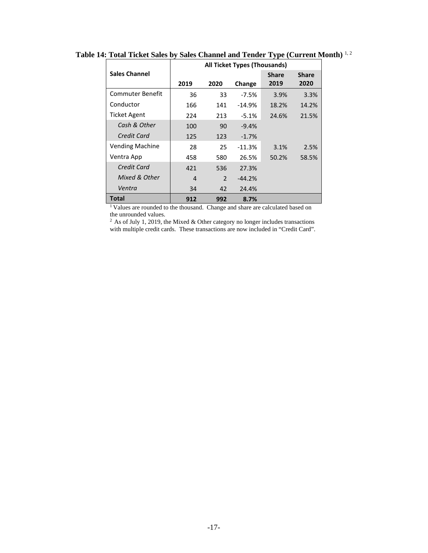|                        |      |               | <b>All Ticket Types (Thousands)</b> |              |              |
|------------------------|------|---------------|-------------------------------------|--------------|--------------|
| <b>Sales Channel</b>   |      |               |                                     | <b>Share</b> | <b>Share</b> |
|                        | 2019 | 2020          | Change                              | 2019         | 2020         |
| Commuter Benefit       | 36   | 33            | $-7.5%$                             | 3.9%         | 3.3%         |
| Conductor              | 166  | 141           | $-14.9%$                            | 18.2%        | 14.2%        |
| <b>Ticket Agent</b>    | 224  | 213           | $-5.1%$                             | 24.6%        | 21.5%        |
| Cash & Other           | 100  | 90            | $-9.4%$                             |              |              |
| Credit Card            | 125  | 123           | $-1.7%$                             |              |              |
| <b>Vending Machine</b> | 28   | 25            | $-11.3%$                            | 3.1%         | 2.5%         |
| Ventra App             | 458  | 580           | 26.5%                               | 50.2%        | 58.5%        |
| Credit Card            | 421  | 536           | 27.3%                               |              |              |
| Mixed & Other          | 4    | $\mathcal{P}$ | $-44.2%$                            |              |              |
| Ventra                 | 34   | 42            | 24.4%                               |              |              |
| Total                  | 912  | 992           | 8.7%                                |              |              |

**Table 14: Total Ticket Sales by Sales Channel and Tender Type (Current Month)** 1, 2

<sup>1</sup> Values are rounded to the thousand. Change and share are calculated based on the unrounded values.

 $2$  As of July 1, 2019, the Mixed & Other category no longer includes transactions with multiple credit cards. These transactions are now included in "Credit Card".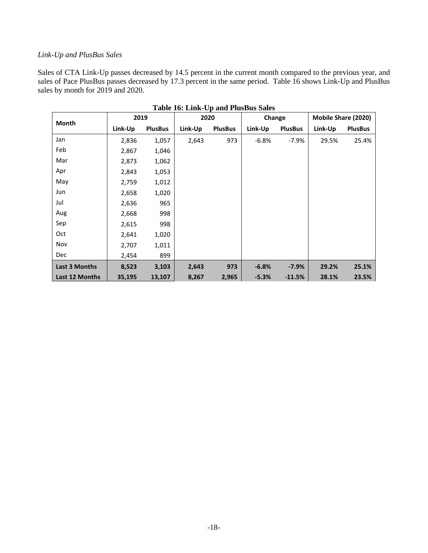#### <span id="page-19-0"></span>*Link-Up and PlusBus Sales*

Sales of CTA Link-Up passes decreased by 14.5 percent in the current month compared to the previous year, and sales of Pace PlusBus passes decreased by 17.3 percent in the same period. Table 16 shows Link-Up and PlusBus sales by month for 2019 and 2020.

| Month          | 2019    |                | 2020    |                | Change  |                | Mobile Share (2020) |                |
|----------------|---------|----------------|---------|----------------|---------|----------------|---------------------|----------------|
|                | Link-Up | <b>PlusBus</b> | Link-Up | <b>PlusBus</b> | Link-Up | <b>PlusBus</b> | Link-Up             | <b>PlusBus</b> |
| Jan            | 2,836   | 1,057          | 2,643   | 973            | $-6.8%$ | $-7.9%$        | 29.5%               | 25.4%          |
| Feb            | 2,867   | 1,046          |         |                |         |                |                     |                |
| Mar            | 2,873   | 1,062          |         |                |         |                |                     |                |
| Apr            | 2,843   | 1,053          |         |                |         |                |                     |                |
| May            | 2,759   | 1,012          |         |                |         |                |                     |                |
| Jun            | 2,658   | 1,020          |         |                |         |                |                     |                |
| Jul            | 2,636   | 965            |         |                |         |                |                     |                |
| Aug            | 2,668   | 998            |         |                |         |                |                     |                |
| Sep            | 2,615   | 998            |         |                |         |                |                     |                |
| Oct            | 2,641   | 1,020          |         |                |         |                |                     |                |
| Nov            | 2,707   | 1,011          |         |                |         |                |                     |                |
| <b>Dec</b>     | 2,454   | 899            |         |                |         |                |                     |                |
| Last 3 Months  | 8,523   | 3,103          | 2,643   | 973            | $-6.8%$ | $-7.9%$        | 29.2%               | 25.1%          |
| Last 12 Months | 35,195  | 13,107         | 8,267   | 2,965          | $-5.3%$ | $-11.5%$       | 28.1%               | 23.5%          |

**Table 16: Link-Up and PlusBus Sales**